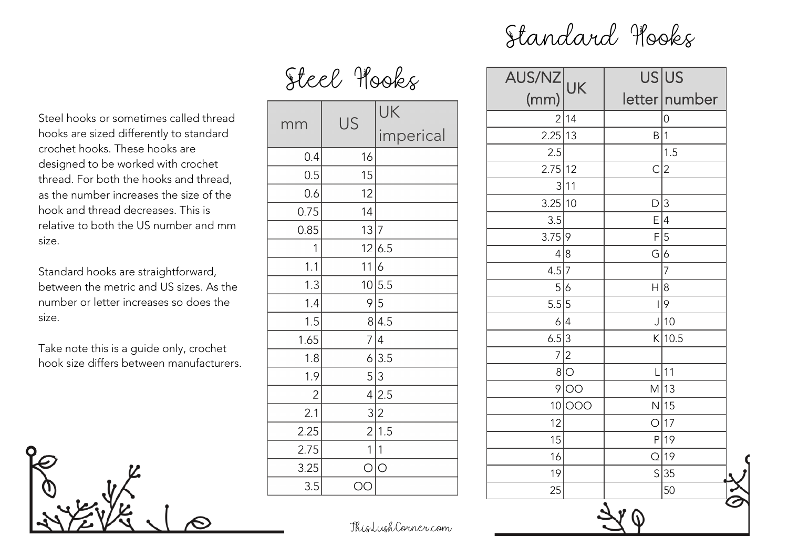## Standard Hooks

Steel Hooks

Steel hooks or sometimes called thread hooks are sized differently to standard crochet hooks. These hooks are designed to be worked with crochet thread. For both the hooks and thread, as the number increases the size of the hook and thread decreases. This is relative to both the US number and mm

Standard hooks are straightforward, between the metric and US sizes. As the number or letter increases so does the size.

size.

Take note this is a guide only, crochet hook size differs between manufacturers.



| mm             | US          | UK          |
|----------------|-------------|-------------|
|                |             | imperical   |
| 0.4            | 16          |             |
| 0.5            | 15          |             |
| 0.6            | 12          |             |
| 0.75           | 14          |             |
| 0.85           | 13 7        |             |
| 1              |             | 12 6.5      |
| 1.1            | 11          | 6           |
| 1.3            |             | 10 5.5      |
| 1.4            |             | 9 5         |
| 1.5            |             | 8 4.5       |
| 1.65           |             | 7 4         |
| 1.8            |             | 6 3.5       |
| 1.9            | 5 3         |             |
| $\overline{2}$ |             | 4 2.5       |
| 2.1            |             | 3 2         |
| 2.25           |             | 2 1.5       |
| 2.75           | $\mathbf 1$ | $\mathbf 1$ |
| 3.25           | O           | lo          |
| 3.5            | OO          |             |

| AUS/NZ UK      |                 |                | US US          |
|----------------|-----------------|----------------|----------------|
| (mm)           |                 |                | letter number  |
|                | 2 14            |                | $\overline{0}$ |
| 2.25 13        |                 | B 1            |                |
| 2.5            |                 |                | 1.5            |
| 2.75 12        |                 | $\mathsf{C}$   | $\overline{2}$ |
|                | 3 11            |                |                |
| 3.25 10        |                 | D              | $\overline{3}$ |
| 3.5            |                 | E              | 4              |
| 3.75 9         |                 |                | F 5            |
| 4 8            |                 | G 6            |                |
| 4.5 7          |                 |                | $\overline{7}$ |
| 5 6            |                 | H 8            |                |
| 5.5 5          |                 | $\overline{1}$ | 9              |
| 6 4            |                 |                | $J$ 10         |
| 6.5 3          |                 |                | $K$   10.5     |
| $\overline{7}$ | $\overline{c}$  |                |                |
| 8 <sup>1</sup> | $\circ$         | L              | 11             |
| $\overline{9}$ | $\overline{O}O$ |                | $M$ 13         |
|                | 10 000          |                | $N$ 15         |
| 12             |                 |                | O 17           |
| 15             |                 |                | $P$  19        |
| 16             |                 |                | Q 19           |
| 19             |                 |                | S 35           |
| 25             |                 |                | 50             |

ThisLushCorner.com